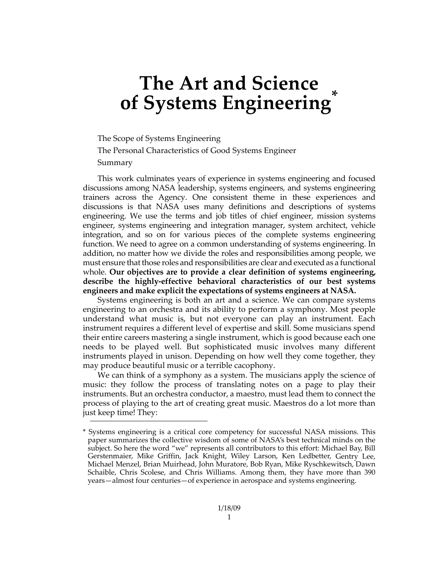## **The Art and Science of Systems Engineering\***

The Scope of Systems Engineering

The Personal Characteristics of Good Systems Engineer

Summary

This work culminates years of experience in systems engineering and focused discussions among NASA leadership, systems engineers, and systems engineering trainers across the Agency. One consistent theme in these experiences and discussions is that NASA uses many definitions and descriptions of systems engineering. We use the terms and job titles of chief engineer, mission systems engineer, systems engineering and integration manager, system architect, vehicle integration, and so on for various pieces of the complete systems engineering function. We need to agree on a common understanding of systems engineering. In addition, no matter how we divide the roles and responsibilities among people, we must ensure that those roles and responsibilities are clear and executed as a functional whole. **Our objectives are to provide a clear definition of systems engineering, describe the highly"effective behavioral characteristics of our best systems engineers and make explicit the expectations of systems engineers at NASA.**

Systems engineering is both an art and a science. We can compare systems engineering to an orchestra and its ability to perform a symphony. Most people understand what music is, but not everyone can play an instrument. Each instrument requires a different level of expertise and skill. Some musicians spend their entire careers mastering a single instrument, which is good because each one needs to be played well. But sophisticated music involves many different instruments played in unison. Depending on how well they come together, they may produce beautiful music or a terrible cacophony.

We can think of a symphony as a system. The musicians apply the science of music: they follow the process of translating notes on a page to play their instruments. But an orchestra conductor, a maestro, must lead them to connect the process of playing to the art of creating great music. Maestros do a lot more than just keep time! They:

<sup>\*</sup> Systems engineering is a critical core competency for successful NASA missions. This paper summarizes the collective wisdom of some of NASA's best technical minds on the subject. So here the word "we" represents all contributors to this effort: Michael Bay, Bill Gerstenmaier, Mike Griffin, Jack Knight, Wiley Larson, Ken Ledbetter, Gentry Lee, Michael Menzel, Brian Muirhead, John Muratore, Bob Ryan, Mike Ryschkewitsch, Dawn Schaible, Chris Scolese, and Chris Williams. Among them, they have more than 390 years—almost four centuries—of experience in aerospace and systems engineering.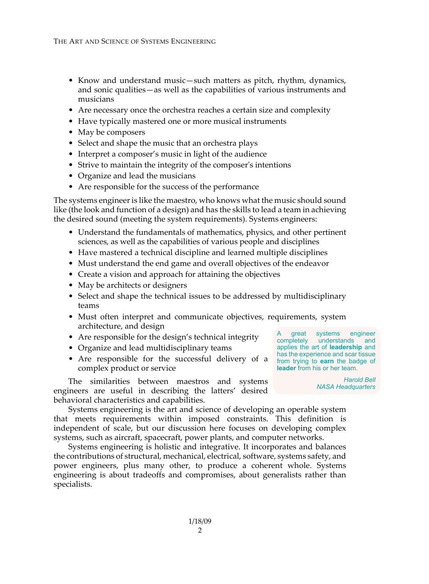- Know and understand music—such matters as pitch, rhythm, dynamics, and sonic qualities—as well as the capabilities of various instruments and musicians
- Are necessary once the orchestra reaches a certain size and complexity
- Have typically mastered one or more musical instruments
- May be composers
- Select and shape the music that an orchestra plays
- Interpret a composer's music in light of the audience
- Strive to maintain the integrity of the composer's intentions
- Organize and lead the musicians
- Are responsible for the success of the performance

The systems engineer is like the maestro, who knows what the music should sound like (the look and function of a design) and has the skills to lead a team in achieving the desired sound (meeting the system requirements). Systems engineers:

- Understand the fundamentals of mathematics, physics, and other pertinent sciences, as well as the capabilities of various people and disciplines
- Have mastered a technical discipline and learned multiple disciplines
- Must understand the end game and overall objectives of the endeavor
- Create a vision and approach for attaining the objectives
- May be architects or designers
- Select and shape the technical issues to be addressed by multidisciplinary teams
- Must often interpret and communicate objectives, requirements, system architecture, and design
- Are responsible for the design's technical integrity
- Organize and lead multidisciplinary teams
- Are responsible for the successful delivery of a **from trying to earn** the badge of complex product or service

The similarities between maestros and systems engineers are useful in describing the latters' desired behavioral characteristics and capabilities.

Systems engineering is the art and science of developing an operable system that meets requirements within imposed constraints. This definition is independent of scale, but our discussion here focuses on developing complex systems, such as aircraft, spacecraft, power plants, and computer networks.

Systems engineering is holistic and integrative. It incorporates and balances the contributions of structural, mechanical, electrical, software, systems safety, and power engineers, plus many other, to produce a coherent whole. Systems engineering is about tradeoffs and compromises, about generalists rather than specialists.

A great systems engineer completely understands and applies the art of **leadership** and has the experience and scar tissue **leader** from his or her team.

> *Harold Bell NASA Headquarters*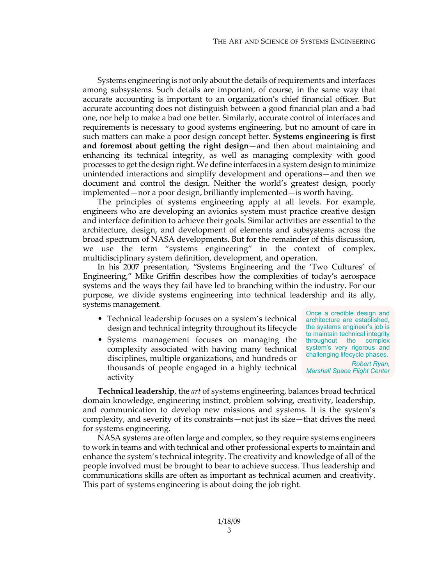Systems engineering is not only about the details of requirements and interfaces among subsystems. Such details are important, of course, in the same way that accurate accounting is important to an organization's chief financial officer. But accurate accounting does not distinguish between a good financial plan and a bad one, nor help to make a bad one better. Similarly, accurate control of interfaces and requirements is necessary to good systems engineering, but no amount of care in such matters can make a poor design concept better. **Systems engineering is first and foremost about getting the right design**—and then about maintaining and enhancing its technical integrity, as well as managing complexity with good processes to get the design right. We define interfaces in a system design to minimize unintended interactions and simplify development and operations—and then we document and control the design. Neither the world's greatest design, poorly implemented—nor a poor design, brilliantly implemented—is worth having.

The principles of systems engineering apply at all levels. For example, engineers who are developing an avionics system must practice creative design and interface definition to achieve their goals. Similar activities are essential to the architecture, design, and development of elements and subsystems across the broad spectrum of NASA developments. But for the remainder of this discussion, we use the term "systems engineering" in the context of complex, multidisciplinary system definition, development, and operation.

In his 2007 presentation, "Systems Engineering and the 'Two Cultures' of Engineering," Mike Griffin describes how the complexities of today's aerospace systems and the ways they fail have led to branching within the industry. For our purpose, we divide systems engineering into technical leadership and its ally, systems management.

- Technical leadership focuses on a system's technical design and technical integrity throughout its lifecycle
- Systems management focuses on managing the complexity associated with having many technical disciplines, multiple organizations, and hundreds or thousands of people engaged in a highly technical activity

Once a credible design and architecture are established, the systems engineer's job is to maintain technical integrity throughout the complex system's very rigorous and challenging lifecycle phases. *Robert Ryan, Marshall Space Flight Center*

**Technical leadership**, the *art* of systems engineering, balances broad technical domain knowledge, engineering instinct, problem solving, creativity, leadership, and communication to develop new missions and systems. It is the system's complexity, and severity of its constraints—not just its size—that drives the need for systems engineering.

NASA systems are often large and complex, so they require systems engineers to work in teams and with technical and other professional experts to maintain and enhance the system's technical integrity. The creativity and knowledge of all of the people involved must be brought to bear to achieve success. Thus leadership and communications skills are often as important as technical acumen and creativity. This part of systems engineering is about doing the job right.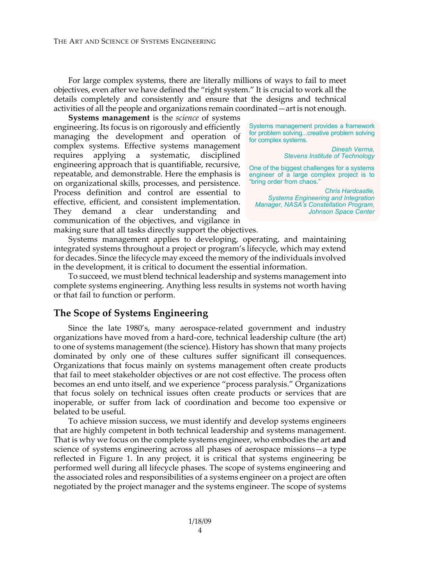For large complex systems, there are literally millions of ways to fail to meet objectives, even after we have defined the "right system." It is crucial to work all the details completely and consistently and ensure that the designs and technical activities of all the people and organizations remain coordinated—art is not enough.

**Systems management** is the *science* of systems engineering. Its focus is on rigorously and efficiently managing the development and operation of complex systems. Effective systems management requires applying a systematic, disciplined engineering approach that is quantifiable, recursive, repeatable, and demonstrable. Here the emphasis is on organizational skills, processes, and persistence. Process definition and control are essential to effective, efficient, and consistent implementation. They demand a clear understanding and communication of the objectives, and vigilance in making sure that all tasks directly support the objectives.

Systems management provides a framework for problem solving...creative problem solving for complex systems.

> *Dinesh Verma, Stevens Institute of Technology*

One of the biggest challenges for a systems engineer of a large complex project is to "bring order from chaos."

*Chris Hardcastle, Systems Engineering and Integration Manager, NASA's Constellation Program, Johnson Space Center*

Systems management applies to developing, operating, and maintaining integrated systems throughout a project or program's lifecycle, which may extend for decades. Since the lifecycle may exceed the memory of the individuals involved in the development, it is critical to document the essential information.

To succeed, we must blend technical leadership and systems management into complete systems engineering. Anything less results in systems not worth having or that fail to function or perform.

## **The Scope of Systems Engineering**

Since the late 1980's, many aerospace-related government and industry organizations have moved from a hard#core, technical leadership culture (the art) to one of systems management (the science). History has shown that many projects dominated by only one of these cultures suffer significant ill consequences. Organizations that focus mainly on systems management often create products that fail to meet stakeholder objectives or are not cost effective. The process often becomes an end unto itself, and we experience "process paralysis." Organizations that focus solely on technical issues often create products or services that are inoperable, or suffer from lack of coordination and become too expensive or belated to be useful.

To achieve mission success, we must identify and develop systems engineers that are highly competent in both technical leadership and systems management. That is why we focus on the complete systems engineer, who embodies the art **and** science of systems engineering across all phases of aerospace missions—a type reflected in [Figure](#page-4-0) 1. In any project, it is critical that systems engineering be performed well during all lifecycle phases. The scope of systems engineering and the associated roles and responsibilities of a systems engineer on a project are often negotiated by the project manager and the systems engineer. The scope of systems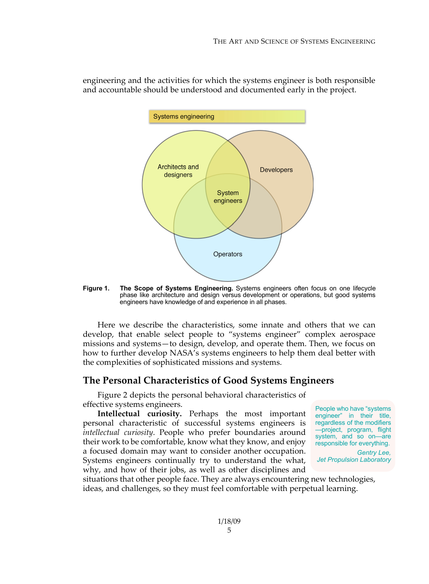

engineering and the activities for which the systems engineer is both responsible and accountable should be understood and documented early in the project.

<span id="page-4-0"></span>**Figure 1. The Scope of Systems Engineering.** Systems engineers often focus on one lifecycle phase like architecture and design versus development or operations, but good systems engineers have knowledge of and experience in all phases.

Here we describe the characteristics, some innate and others that we can develop, that enable select people to "systems engineer" complex aerospace missions and systems—to design, develop, and operate them. Then, we focus on how to further develop NASA's systems engineers to help them deal better with the complexities of sophisticated missions and systems.

## **The Personal Characteristics of Good Systems Engineers**

[Figure](#page-5-0) 2 depicts the personal behavioral characteristics of effective systems engineers.

**Intellectual curiosity.** Perhaps the most important personal characteristic of successful systems engineers is *intellectual curiosity*. People who prefer boundaries around their work to be comfortable, know what they know, and enjoy a focused domain may want to consider another occupation. Systems engineers continually try to understand the what, why, and how of their jobs, as well as other disciplines and

People who have "systems engineer" in their title, regardless of the modifiers —project, program, flight system, and so on—are responsible for everything. *Gentry Lee,* 

*Jet Propulsion Laboratory*

situations that other people face. They are always encountering new technologies, ideas, and challenges, so they must feel comfortable with perpetual learning.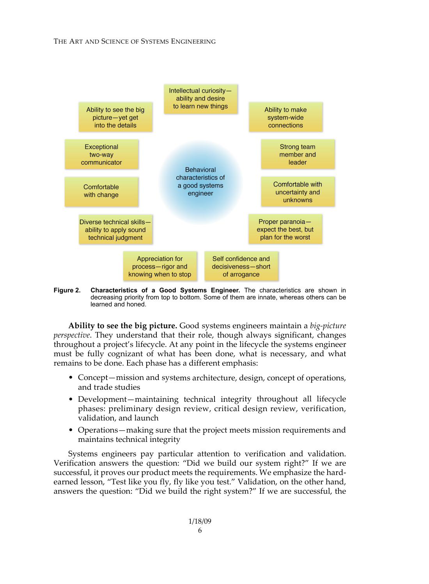

<span id="page-5-0"></span>**Figure 2. Characteristics of a Good Systems Engineer.** The characteristics are shown in decreasing priority from top to bottom. Some of them are innate, whereas others can be learned and honed.

**Ability to see the big picture.** Good systems engineers maintain a *big"picture perspective*. They understand that their role, though always significant, changes throughout a project's lifecycle. At any point in the lifecycle the systems engineer must be fully cognizant of what has been done, what is necessary, and what remains to be done. Each phase has a different emphasis:

- Concept—mission and systems architecture, design, concept of operations, and trade studies
- Development—maintaining technical integrity throughout all lifecycle phases: preliminary design review, critical design review, verification, validation, and launch
- Operations—making sure that the project meets mission requirements and maintains technical integrity

Systems engineers pay particular attention to verification and validation. Verification answers the question: "Did we build our system right?" If we are successful, it proves our product meets the requirements. We emphasize the hard# earned lesson, "Test like you fly, fly like you test." Validation, on the other hand, answers the question: "Did we build the right system?" If we are successful, the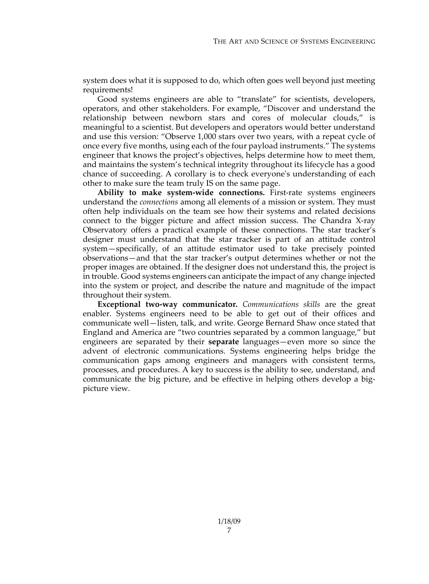system does what it is supposed to do, which often goes well beyond just meeting requirements!

Good systems engineers are able to "translate" for scientists, developers, operators, and other stakeholders. For example, "Discover and understand the relationship between newborn stars and cores of molecular clouds," is meaningful to a scientist. But developers and operators would better understand and use this version: "Observe 1,000 stars over two years, with a repeat cycle of once every five months, using each of the four payload instruments." The systems engineer that knows the project's objectives, helps determine how to meet them, and maintains the system's technical integrity throughout its lifecycle has a good chance of succeeding. A corollary is to check everyone"s understanding of each other to make sure the team truly IS on the same page.

**Ability to** make system-wide connections. First-rate systems engineers understand the *connections* among all elements of a mission or system. They must often help individuals on the team see how their systems and related decisions connect to the bigger picture and affect mission success. The Chandra X-ray Observatory offers a practical example of these connections. The star tracker's designer must understand that the star tracker is part of an attitude control system—specifically, of an attitude estimator used to take precisely pointed observations—and that the star tracker's output determines whether or not the proper images are obtained. If the designer does not understand this, the project is in trouble. Good systems engineers can anticipate the impact of any change injected into the system or project, and describe the nature and magnitude of the impact throughout their system.

**Exceptional two-way communicator.** *Communications skills* are the great enabler. Systems engineers need to be able to get out of their offices and communicate well—listen, talk, and write. George Bernard Shaw once stated that England and America are "two countries separated by a common language," but engineers are separated by their **separate** languages—even more so since the advent of electronic communications. Systems engineering helps bridge the communication gaps among engineers and managers with consistent terms, processes, and procedures. A key to success is the ability to see, understand, and communicate the big picture, and be effective in helping others develop a bigpicture view.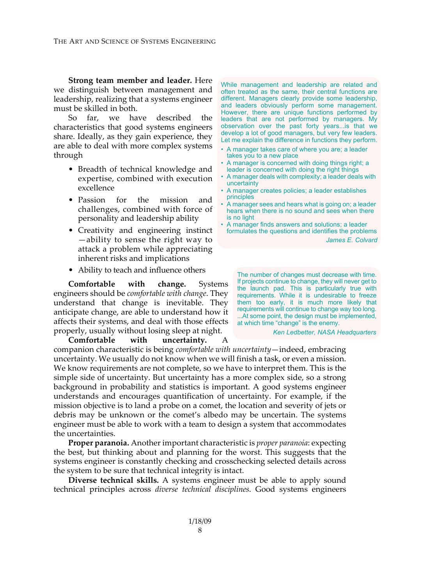**Strong team member and leader.** Here we distinguish between management and leadership, realizing that a systems engineer must be skilled in both.

So far, we have described the characteristics that good systems engineers share. Ideally, as they gain experience, they are able to deal with more complex systems through

- Breadth of technical knowledge and expertise, combined with execution excellence
- Passion for the mission and challenges, combined with force of personality and leadership ability
- Creativity and engineering instinct —ability to sense the right way to attack a problem while appreciating inherent risks and implications
- Ability to teach and influence others

**Comfortable with change.** Systems engineers should be *comfortable with change*. They understand that change is inevitable. They anticipate change, are able to understand how it affects their systems, and deal with those effects properly, usually without losing sleep at night.

**Comfortable with uncertainty.** A companion characteristic is being *comfortable with uncertainty*—indeed, embracing uncertainty. We usually do not know when we will finish a task, or even a mission. We know requirements are not complete, so we have to interpret them. This is the simple side of uncertainty. But uncertainty has a more complex side, so a strong background in probability and statistics is important. A good systems engineer understands and encourages quantification of uncertainty. For example, if the mission objective is to land a probe on a comet, the location and severity of jets or debris may be unknown or the comet's albedo may be uncertain. The systems engineer must be able to work with a team to design a system that accommodates the uncertainties.

**Proper paranoia.** Another important characteristic is *proper paranoia*: expecting the best, but thinking about and planning for the worst. This suggests that the systems engineer is constantly checking and crosschecking selected details across the system to be sure that technical integrity is intact.

**Diverse technical skills.** A systems engineer must be able to apply sound technical principles across *diverse technical disciplines*. Good systems engineers

While management and leadership are related and often treated as the same, their central functions are different. Managers clearly provide some leadership, and leaders obviously perform some management. However, there are unique functions performed by leaders that are not performed by managers. My observation over the past forty years...is that we develop a lot of good managers, but very few leaders. Let me explain the difference in functions they perform.

- A manager takes care of where you are; a leader takes you to a new place
- A manager is concerned with doing things right; a leader is concerned with doing the right things
- A manager deals with complexity; a leader deals with uncertainty
- A manager creates policies; a leader establishes principles
- A manager sees and hears what is going on; a leader hears when there is no sound and sees when there is no light
- A manager finds answers and solutions; a leader formulates the questions and identifies the problems *James E. Colvard*

The number of changes must decrease with time. If projects continue to change, they will never get to the launch pad. This is particularly true with requirements. While it is undesirable to freeze them too early, it is much more likely that requirements will continue to change way too long. ...At some point, the design must be implemented, at which time "change" is the enemy.

*Ken Ledbetter, NASA Headquarters*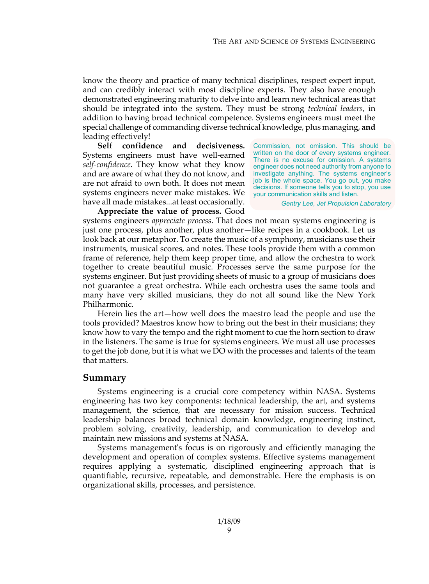know the theory and practice of many technical disciplines, respect expert input, and can credibly interact with most discipline experts. They also have enough demonstrated engineering maturity to delve into and learn new technical areas that should be integrated into the system. They must be strong *technical leaders*, in addition to having broad technical competence. Systems engineers must meet the special challenge of commanding diverse technical knowledge, plus managing, **and** leading effectively!

**Self confidence and decisiveness.** Systems engineers must have well-earned *self"confidence*. They know what they know and are aware of what they do not know, and are not afraid to own both. It does not mean systems engineers never make mistakes. We have all made mistakes...at least occasionally.

Commission, not omission. This should be written on the door of every systems engineer. There is no excuse for omission. A systems engineer does not need authority from anyone to investigate anything. The systems engineer's job is the whole space. You go out, you make decisions. If someone tells you to stop, you use your communication skills and listen.

*Gentry Lee, Jet Propulsion Laboratory*

**Appreciate the value of process.** Good systems engineers *appreciate process*. That does not mean systems engineering is just one process, plus another, plus another—like recipes in a cookbook. Let us look back at our metaphor. To create the music of a symphony, musicians use their instruments, musical scores, and notes. These tools provide them with a common frame of reference, help them keep proper time, and allow the orchestra to work together to create beautiful music. Processes serve the same purpose for the systems engineer. But just providing sheets of music to a group of musicians does not guarantee a great orchestra. While each orchestra uses the same tools and many have very skilled musicians, they do not all sound like the New York Philharmonic.

Herein lies the art—how well does the maestro lead the people and use the tools provided? Maestros know how to bring out the best in their musicians; they know how to vary the tempo and the right moment to cue the horn section to draw in the listeners. The same is true for systems engineers. We must all use processes to get the job done, but it is what we DO with the processes and talents of the team that matters.

## **Summary**

Systems engineering is a crucial core competency within NASA. Systems engineering has two key components: technical leadership, the art, and systems management, the science, that are necessary for mission success. Technical leadership balances broad technical domain knowledge, engineering instinct, problem solving, creativity, leadership, and communication to develop and maintain new missions and systems at NASA.

Systems management"s focus is on rigorously and efficiently managing the development and operation of complex systems. Effective systems management requires applying a systematic, disciplined engineering approach that is quantifiable, recursive, repeatable, and demonstrable. Here the emphasis is on organizational skills, processes, and persistence.